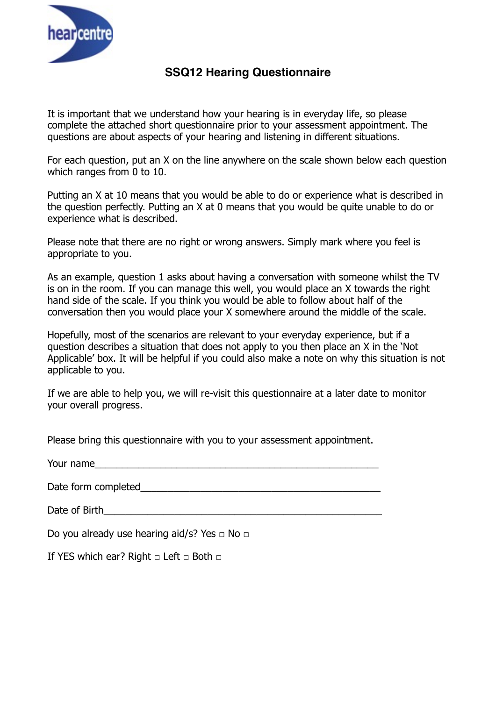

## **SSQ12 Hearing Questionnaire**

It is important that we understand how your hearing is in everyday life, so please complete the attached short questionnaire prior to your assessment appointment. The questions are about aspects of your hearing and listening in different situations.

For each question, put an X on the line anywhere on the scale shown below each question which ranges from 0 to 10.

Putting an X at 10 means that you would be able to do or experience what is described in the question perfectly. Putting an X at 0 means that you would be quite unable to do or experience what is described.

Please note that there are no right or wrong answers. Simply mark where you feel is appropriate to you.

As an example, question 1 asks about having a conversation with someone whilst the TV is on in the room. If you can manage this well, you would place an X towards the right hand side of the scale. If you think you would be able to follow about half of the conversation then you would place your X somewhere around the middle of the scale.

Hopefully, most of the scenarios are relevant to your everyday experience, but if a question describes a situation that does not apply to you then place an X in the 'Not Applicable' box. It will be helpful if you could also make a note on why this situation is not applicable to you.

If we are able to help you, we will re-visit this questionnaire at a later date to monitor your overall progress.

Please bring this questionnaire with you to your assessment appointment.

| Your name |  |  |  |
|-----------|--|--|--|
|           |  |  |  |

Date form completed and the state of the state of the state of the state of the state of the state of the state of the state of the state of the state of the state of the state of the state of the state of the state of the

Date of Birth

Do you already use hearing aid/s? Yes □ No □

If YES which ear? Right  $\Box$  Left  $\Box$  Both  $\Box$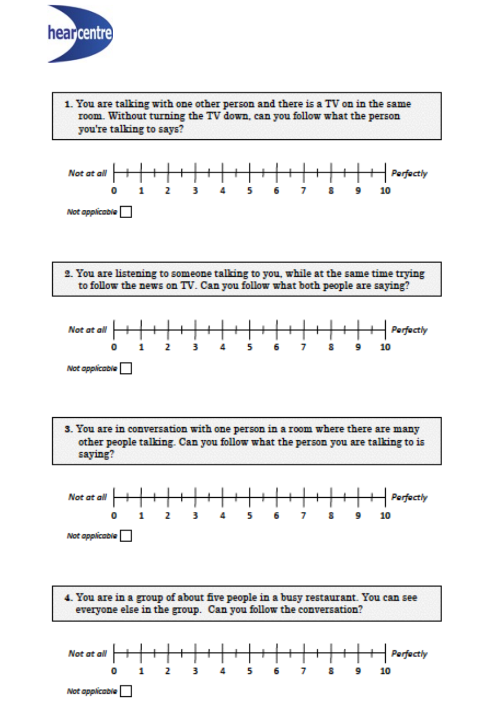

1. You are talking with one other person and there is a TV on in the same room. Without turning the TV down, can you follow what the person you're talking to says?







3. You are in conversation with one person in a room where there are many other people talking. Can you follow what the person you are talking to is saying?



4. You are in a group of about five people in a busy restaurant. You can see everyone else in the group. Can you follow the conversation?

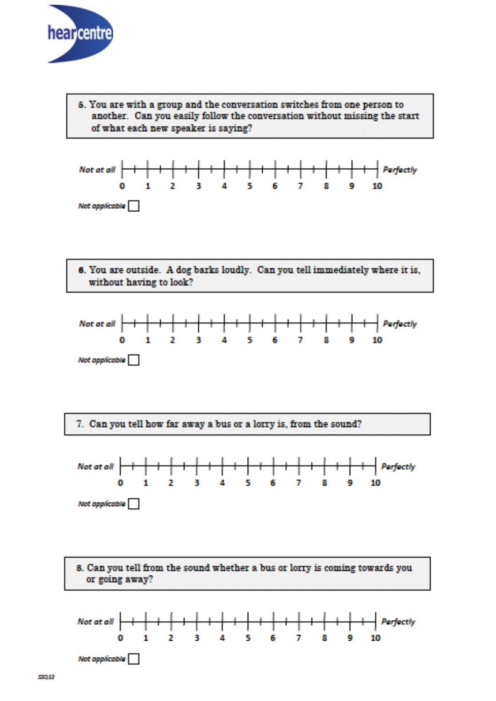

5. You are with a group and the conversation switches from one person to another. Can you easily follow the conversation without missing the start of what each new speaker is saying?



6. You are outside. A dog barks loudly. Can you tell immediately where it is, without having to look?



7. Can you tell how far away a bus or a lorry is, from the sound?



8. Can you tell from the sound whether a bus or lorry is coming towards you or going away?

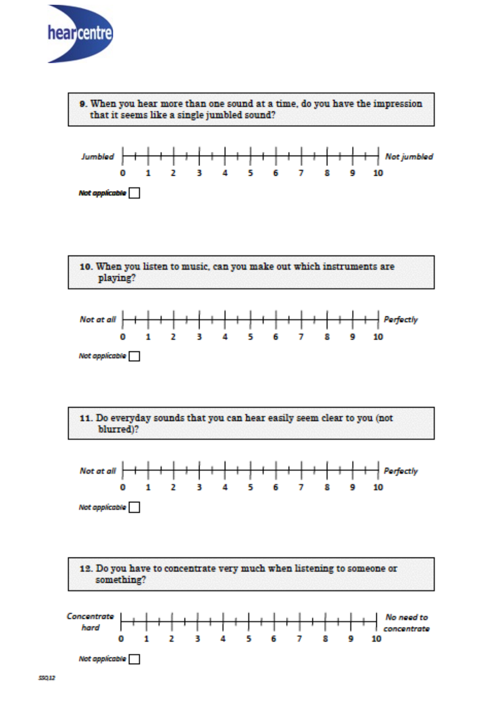